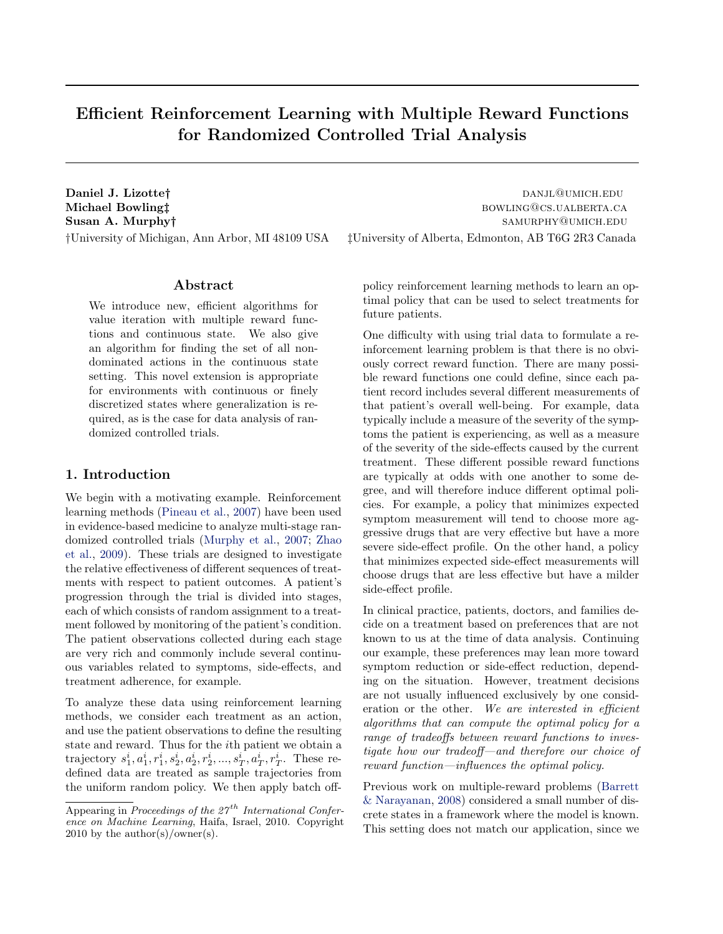# Efficient Reinforcement Learning with Multiple Reward Functions for Randomized Controlled Trial Analysis

**Daniel J. Lizotte†** danje between the control of the control of the control of the control of the control of the control of the control of the control of the control of the control of the control of the control of the con

### Abstract

We introduce new, efficient algorithms for value iteration with multiple reward functions and continuous state. We also give an algorithm for finding the set of all nondominated actions in the continuous state setting. This novel extension is appropriate for environments with continuous or finely discretized states where generalization is required, as is the case for data analysis of randomized controlled trials.

### 1. Introduction

We begin with a motivating example. Reinforcement learning methods [\(Pineau et al.,](#page-7-0) [2007\)](#page-7-0) have been used in evidence-based medicine to analyze multi-stage randomized controlled trials [\(Murphy et al.,](#page-7-0) [2007;](#page-7-0) [Zhao](#page-7-0) [et al.,](#page-7-0) [2009\)](#page-7-0). These trials are designed to investigate the relative effectiveness of different sequences of treatments with respect to patient outcomes. A patient's progression through the trial is divided into stages, each of which consists of random assignment to a treatment followed by monitoring of the patient's condition. The patient observations collected during each stage are very rich and commonly include several continuous variables related to symptoms, side-effects, and treatment adherence, for example.

To analyze these data using reinforcement learning methods, we consider each treatment as an action, and use the patient observations to define the resulting state and reward. Thus for the ith patient we obtain a trajectory  $s_1^i, a_1^i, r_1^i, s_2^i, a_2^i, r_2^i, ..., s_T^i, a_T^i, r_T^i$ . These redefined data are treated as sample trajectories from the uniform random policy. We then apply batch off-

Michael Bowling‡ bowling# bowling= bowling= bowling= bowling= bowling= bowling= bowling= bowling= bowling= bowling= bowling= bowling= bowling= bowling= bowling= bowling= bowling= bowling= bowling= bowling= bowling= bowling Susan A. Murphy† samurphy samurphy samurphy samurphy samurphy samurphy samurphy samurphy samurphy samurphy samurphy samurphy samurphy samurphy samurphy samurphy samurphy samurphy samurphy samurphy samurphy samurphy samurph †University of Michigan, Ann Arbor, MI 48109 USA ‡University of Alberta, Edmonton, AB T6G 2R3 Canada

> policy reinforcement learning methods to learn an optimal policy that can be used to select treatments for future patients.

> One difficulty with using trial data to formulate a reinforcement learning problem is that there is no obviously correct reward function. There are many possible reward functions one could define, since each patient record includes several different measurements of that patient's overall well-being. For example, data typically include a measure of the severity of the symptoms the patient is experiencing, as well as a measure of the severity of the side-effects caused by the current treatment. These different possible reward functions are typically at odds with one another to some degree, and will therefore induce different optimal policies. For example, a policy that minimizes expected symptom measurement will tend to choose more aggressive drugs that are very effective but have a more severe side-effect profile. On the other hand, a policy that minimizes expected side-effect measurements will choose drugs that are less effective but have a milder side-effect profile.

> In clinical practice, patients, doctors, and families decide on a treatment based on preferences that are not known to us at the time of data analysis. Continuing our example, these preferences may lean more toward symptom reduction or side-effect reduction, depending on the situation. However, treatment decisions are not usually influenced exclusively by one consideration or the other. We are interested in efficient algorithms that can compute the optimal policy for a range of tradeoffs between reward functions to investigate how our tradeoff—and therefore our choice of reward function—influences the optimal policy.

> Previous work on multiple-reward problems [\(Barrett](#page-7-0) [& Narayanan,](#page-7-0) [2008\)](#page-7-0) considered a small number of discrete states in a framework where the model is known. This setting does not match our application, since we

Appearing in Proceedings of the  $27<sup>th</sup>$  International Conference on Machine Learning, Haifa, Israel, 2010. Copyright 2010 by the author(s)/owner(s).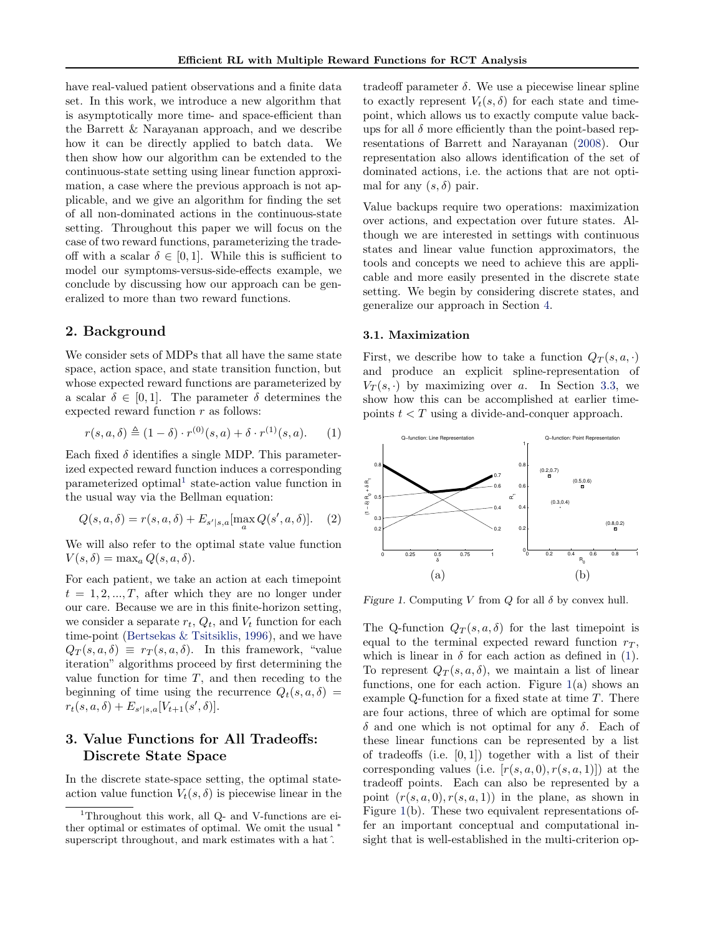<span id="page-1-0"></span>have real-valued patient observations and a finite data set. In this work, we introduce a new algorithm that is asymptotically more time- and space-efficient than the Barrett & Narayanan approach, and we describe how it can be directly applied to batch data. We then show how our algorithm can be extended to the continuous-state setting using linear function approximation, a case where the previous approach is not applicable, and we give an algorithm for finding the set of all non-dominated actions in the continuous-state setting. Throughout this paper we will focus on the case of two reward functions, parameterizing the tradeoff with a scalar  $\delta \in [0,1]$ . While this is sufficient to model our symptoms-versus-side-effects example, we conclude by discussing how our approach can be generalized to more than two reward functions.

### 2. Background

We consider sets of MDPs that all have the same state space, action space, and state transition function, but whose expected reward functions are parameterized by a scalar  $\delta \in [0, 1]$ . The parameter  $\delta$  determines the expected reward function  $r$  as follows:

$$
r(s, a, \delta) \triangleq (1 - \delta) \cdot r^{(0)}(s, a) + \delta \cdot r^{(1)}(s, a). \tag{1}
$$

Each fixed  $\delta$  identifies a single MDP. This parameterized expected reward function induces a corresponding parameterized optimal<sup>1</sup> state-action value function in the usual way via the Bellman equation:

$$
Q(s, a, \delta) = r(s, a, \delta) + E_{s'|s, a}[\max_{a} Q(s', a, \delta)].
$$
 (2)

We will also refer to the optimal state value function  $V(s,\delta) = \max_a Q(s,a,\delta).$ 

For each patient, we take an action at each timepoint  $t = 1, 2, ..., T$ , after which they are no longer under our care. Because we are in this finite-horizon setting, we consider a separate  $r_t$ ,  $Q_t$ , and  $V_t$  function for each time-point [\(Bertsekas & Tsitsiklis,](#page-7-0) [1996\)](#page-7-0), and we have  $Q_T(s, a, \delta) \equiv r_T(s, a, \delta)$ . In this framework, "value iteration" algorithms proceed by first determining the value function for time  $T$ , and then receding to the beginning of time using the recurrence  $Q_t(s, a, \delta)$  =  $r_t(s, a, \delta) + E_{s'|s,a}[V_{t+1}(s', \delta)].$ 

# 3. Value Functions for All Tradeoffs: Discrete State Space

In the discrete state-space setting, the optimal stateaction value function  $V_t(s, \delta)$  is piecewise linear in the

tradeoff parameter δ. We use a piecewise linear spline to exactly represent  $V_t(s, \delta)$  for each state and timepoint, which allows us to exactly compute value backups for all  $\delta$  more efficiently than the point-based representations of Barrett and Narayanan [\(2008\)](#page-7-0). Our representation also allows identification of the set of dominated actions, i.e. the actions that are not optimal for any  $(s, \delta)$  pair.

Value backups require two operations: maximization over actions, and expectation over future states. Although we are interested in settings with continuous states and linear value function approximators, the tools and concepts we need to achieve this are applicable and more easily presented in the discrete state setting. We begin by considering discrete states, and generalize our approach in Section [4.](#page-4-0)

#### 3.1. Maximization

First, we describe how to take a function  $Q_T(s, a, \cdot)$ and produce an explicit spline-representation of  $V_T(s, \cdot)$  by maximizing over a. In Section [3.3,](#page-3-0) we show how this can be accomplished at earlier timepoints  $t < T$  using a divide-and-conquer approach.



Figure 1. Computing V from  $Q$  for all  $\delta$  by convex hull.

The Q-function  $Q_T(s, a, \delta)$  for the last timepoint is equal to the terminal expected reward function  $r<sub>T</sub>$ , which is linear in  $\delta$  for each action as defined in (1). To represent  $Q_T(s, a, \delta)$ , we maintain a list of linear functions, one for each action. Figure  $1(a)$  shows an example Q-function for a fixed state at time  $T$ . There are four actions, three of which are optimal for some δ and one which is not optimal for any δ. Each of these linear functions can be represented by a list of tradeoffs (i.e.  $[0,1]$ ) together with a list of their corresponding values (i.e.  $[r(s, a, 0), r(s, a, 1)]$ ) at the tradeoff points. Each can also be represented by a point  $(r(s, a, 0), r(s, a, 1))$  in the plane, as shown in Figure 1(b). These two equivalent representations offer an important conceptual and computational insight that is well-established in the multi-criterion op-

<sup>&</sup>lt;sup>1</sup>Throughout this work, all Q- and V-functions are either optimal or estimates of optimal. We omit the usual superscript throughout, and mark estimates with a hat $\hat{ }$ .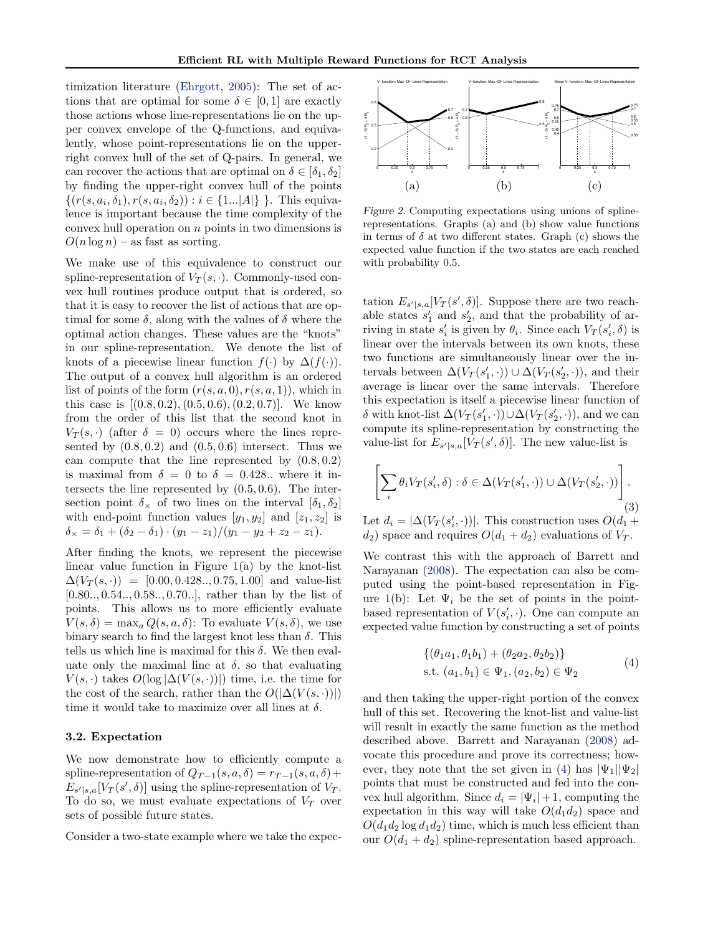<span id="page-2-0"></span>timization literature [\(Ehrgott,](#page-7-0) [2005\)](#page-7-0): The set of actions that are optimal for some  $\delta \in [0,1]$  are exactly those actions whose line-representations lie on the upper convex envelope of the Q-functions, and equivalently, whose point-representations lie on the upperright convex hull of the set of Q-pairs. In general, we can recover the actions that are optimal on  $\delta \in [\delta_1, \delta_2]$ by finding the upper-right convex hull of the points  $\{(r(s, a_i, \delta_1), r(s, a_i, \delta_2)) : i \in \{1...|A|\}\}\.$  This equivalence is important because the time complexity of the convex hull operation on  $n$  points in two dimensions is  $O(n \log n)$  – as fast as sorting.

We make use of this equivalence to construct our spline-representation of  $V_T(s, \cdot)$ . Commonly-used convex hull routines produce output that is ordered, so that it is easy to recover the list of actions that are optimal for some  $\delta$ , along with the values of  $\delta$  where the optimal action changes. These values are the "knots" in our spline-representation. We denote the list of knots of a piecewise linear function  $f(\cdot)$  by  $\Delta(f(\cdot))$ . The output of a convex hull algorithm is an ordered list of points of the form  $(r(s, a, 0), r(s, a, 1))$ , which in this case is  $[(0.8, 0.2), (0.5, 0.6), (0.2, 0.7)]$ . We know from the order of this list that the second knot in  $V_T(s, \cdot)$  (after  $\delta = 0$ ) occurs where the lines represented by  $(0.8, 0.2)$  and  $(0.5, 0.6)$  intersect. Thus we can compute that the line represented by  $(0.8, 0.2)$ is maximal from  $\delta = 0$  to  $\delta = 0.428$ .. where it intersects the line represented by  $(0.5, 0.6)$ . The intersection point  $\delta_{\times}$  of two lines on the interval  $[\delta_1, \delta_2]$ with end-point function values  $[y_1, y_2]$  and  $[z_1, z_2]$  is  $\delta_{\times} = \delta_1 + (\delta_2 - \delta_1) \cdot (y_1 - z_1)/(y_1 - y_2 + z_2 - z_1).$ 

After finding the knots, we represent the piecewise linear value function in Figure  $1(a)$  $1(a)$  by the knot-list  $\Delta(V_T(s, \cdot)) = [0.00, 0.428, 0.75, 1.00]$  and value-list [0.80.., 0.54.., 0.58.., 0.70..], rather than by the list of points. This allows us to more efficiently evaluate  $V(s,\delta) = \max_a Q(s,a,\delta)$ : To evaluate  $V(s,\delta)$ , we use binary search to find the largest knot less than  $\delta$ . This tells us which line is maximal for this  $\delta$ . We then evaluate only the maximal line at  $\delta$ , so that evaluating  $V(s, \cdot)$  takes  $O(\log |\Delta(V(s, \cdot))|)$  time, i.e. the time for the cost of the search, rather than the  $O(|\Delta(V(s, \cdot))|)$ time it would take to maximize over all lines at  $\delta$ .

### 3.2. Expectation

We now demonstrate how to efficiently compute a spline-representation of  $Q_{T-1}(s, a, \delta) = r_{T-1}(s, a, \delta) +$  $E_{s'|s,a}[V_T(s',\delta)]$  using the spline-representation of  $V_T$ . To do so, we must evaluate expectations of  $V_T$  over sets of possible future states.

Consider a two-state example where we take the expec-



Figure 2. Computing expectations using unions of splinerepresentations. Graphs (a) and (b) show value functions in terms of  $\delta$  at two different states. Graph (c) shows the expected value function if the two states are each reached with probability 0.5.

tation  $E_{s'|s,a}[V_T(s',\delta)]$ . Suppose there are two reachable states  $s'_1$  and  $s'_2$ , and that the probability of arriving in state  $s_i'$  is given by  $\theta_i$ . Since each  $V_T(s_i', \delta)$  is linear over the intervals between its own knots, these two functions are simultaneously linear over the intervals between  $\Delta(V_T(s'_1, \cdot)) \cup \Delta(V_T(s'_2, \cdot)),$  and their average is linear over the same intervals. Therefore this expectation is itself a piecewise linear function of δ with knot-list  $\Delta(V_T(s'_1, \cdot)) \cup \Delta(V_T(s'_2, \cdot)),$  and we can compute its spline-representation by constructing the value-list for  $E_{s'|s,a}[V_T(s',\delta)]$ . The new value-list is

$$
\left[\sum_{i} \theta_{i} V_{T}(s'_{i}, \delta) : \delta \in \Delta(V_{T}(s'_{1}, \cdot)) \cup \Delta(V_{T}(s'_{2}, \cdot))\right].
$$
\n(3)

Let  $d_i = |\Delta(V_T(s'_i, \cdot))|$ . This construction uses  $O(d_1 +$  $d_2$ ) space and requires  $O(d_1 + d_2)$  evaluations of  $V_T$ .

We contrast this with the approach of Barrett and Narayanan [\(2008\)](#page-7-0). The expectation can also be computed using the point-based representation in Fig-ure [1\(](#page-1-0)b): Let  $\Psi_i$  be the set of points in the pointbased representation of  $V(s'_i, \cdot)$ . One can compute an expected value function by constructing a set of points

$$
\begin{aligned} \{(\theta_1 a_1, \theta_1 b_1) + (\theta_2 a_2, \theta_2 b_2) \} \\ \text{s.t. } (a_1, b_1) \in \Psi_1, (a_2, b_2) \in \Psi_2 \end{aligned} \tag{4}
$$

and then taking the upper-right portion of the convex hull of this set. Recovering the knot-list and value-list will result in exactly the same function as the method described above. Barrett and Narayanan [\(2008\)](#page-7-0) advocate this procedure and prove its correctness; however, they note that the set given in (4) has  $|\Psi_1||\Psi_2|$ points that must be constructed and fed into the convex hull algorithm. Since  $d_i = |\Psi_i| + 1$ , computing the expectation in this way will take  $O(d_1 d_2)$  space and  $O(d_1d_2 \log d_1d_2)$  time, which is much less efficient than our  $O(d_1 + d_2)$  spline-representation based approach.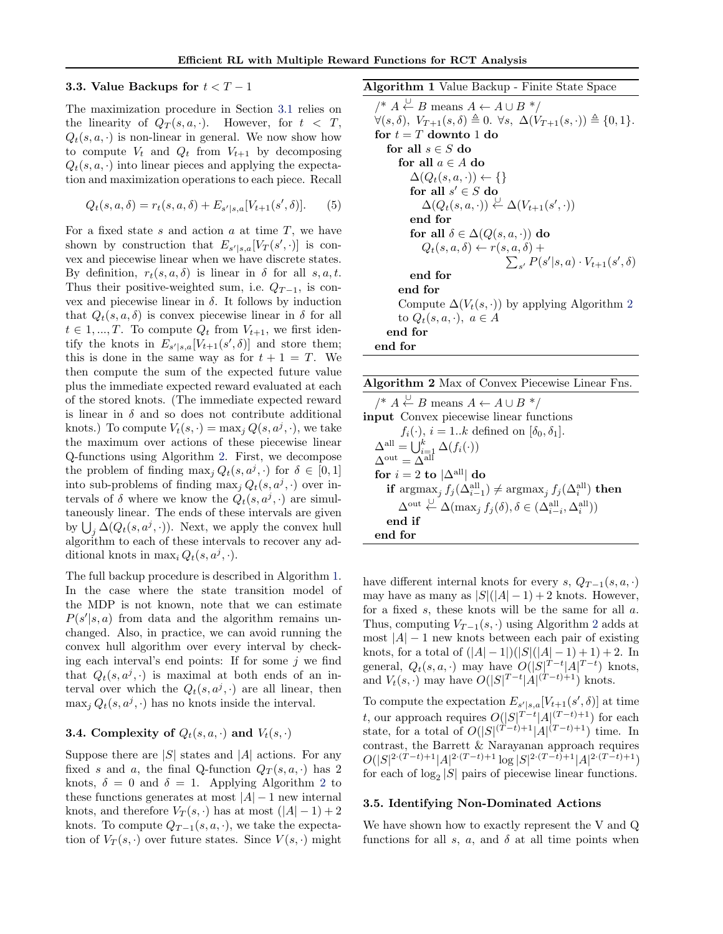#### <span id="page-3-0"></span>3.3. Value Backups for  $t < T - 1$

The maximization procedure in Section [3.1](#page-1-0) relies on the linearity of  $Q_T(s, a, \cdot)$ . However, for  $t < T$ ,  $Q_t(s, a, \cdot)$  is non-linear in general. We now show how to compute  $V_t$  and  $Q_t$  from  $V_{t+1}$  by decomposing  $Q_t(s, a, \cdot)$  into linear pieces and applying the expectation and maximization operations to each piece. Recall

$$
Q_t(s, a, \delta) = r_t(s, a, \delta) + E_{s'|s, a}[V_{t+1}(s', \delta)].
$$
 (5)

For a fixed state s and action  $a$  at time  $T$ , we have shown by construction that  $E_{s'|s,a}[V_T(s',\cdot)]$  is convex and piecewise linear when we have discrete states. By definition,  $r_t(s, a, \delta)$  is linear in  $\delta$  for all  $s, a, t$ . Thus their positive-weighted sum, i.e.  $Q_{T-1}$ , is convex and piecewise linear in δ. It follows by induction that  $Q_t(s, a, \delta)$  is convex piecewise linear in  $\delta$  for all  $t \in 1, ..., T$ . To compute  $Q_t$  from  $V_{t+1}$ , we first identify the knots in  $E_{s'|s,a}[V_{t+1}(s',\delta)]$  and store them; this is done in the same way as for  $t + 1 = T$ . We then compute the sum of the expected future value plus the immediate expected reward evaluated at each of the stored knots. (The immediate expected reward is linear in  $\delta$  and so does not contribute additional knots.) To compute  $V_t(s, \cdot) = \max_j Q(s, a^j, \cdot)$ , we take the maximum over actions of these piecewise linear Q-functions using Algorithm 2. First, we decompose the problem of finding  $\max_j Q_t(s, a^j, \cdot)$  for  $\delta \in [0, 1]$ into sub-problems of finding  $\max_j Q_t(s, a^j, \cdot)$  over intervals of  $\delta$  where we know the  $\hat{Q}_t(s, a^j, \cdot)$  are simultaneously linear. The ends of these intervals are given by  $\bigcup_j \Delta(Q_t(s, a^j, \cdot))$ . Next, we apply the convex hull algorithm to each of these intervals to recover any additional knots in  $\max_i Q_t(s, a^j, \cdot)$ .

The full backup procedure is described in Algorithm 1. In the case where the state transition model of the MDP is not known, note that we can estimate  $P(s'|s, a)$  from data and the algorithm remains unchanged. Also, in practice, we can avoid running the convex hull algorithm over every interval by checking each interval's end points: If for some  $j$  we find that  $Q_t(s, a^j, \cdot)$  is maximal at both ends of an interval over which the  $Q_t(s, a^j, \cdot)$  are all linear, then  $\max_j Q_t(s, a^j, \cdot)$  has no knots inside the interval.

### **3.4.** Complexity of  $Q_t(s, a, \cdot)$  and  $V_t(s, \cdot)$

Suppose there are  $|S|$  states and  $|A|$  actions. For any fixed s and a, the final Q-function  $Q_T(s, a, \cdot)$  has 2 knots,  $\delta = 0$  and  $\delta = 1$ . Applying Algorithm 2 to these functions generates at most  $|A| - 1$  new internal knots, and therefore  $V_T(s, \cdot)$  has at most  $(|A| - 1) + 2$ knots. To compute  $Q_{T-1}(s, a, \cdot)$ , we take the expectation of  $V_T(s, \cdot)$  over future states. Since  $V(s, \cdot)$  might

Algorithm 1 Value Backup - Finite State Space

```
/* A \stackrel{\cup}{\leftarrow} B means A \leftarrow A \cup B */
\forall (s, \delta), V_{T+1}(s, \delta) \triangleq 0. \ \forall s, \ \Delta(V_{T+1}(s, \cdot)) \triangleq \{0, 1\}.for t = T downto 1 do
    for all s \in S do
       for all a \in A do
           \Delta(Q_t(s,a,\cdot)) \leftarrow \{\}for all s' \in S do
               \Delta(Q_t(s, a, \cdot)) \stackrel{\cup}{\leftarrow} \Delta(V_{t+1}(s', \cdot))end for
           for all \delta \in \Delta(Q(s, a, \cdot)) do
               Q_t(s, a, \delta) \leftarrow r(s, a, \delta)\sum) +_{s'} P(s' | s, a) \cdot V_{t+1}(s', \delta)end for
       end for
       Compute \Delta(V_t(s, \cdot)) by applying Algorithm 2
       to Q_t(s, a, \cdot), a \in Aend for
end for
```

| <b>Algorithm 2</b> Max of Convex Piecewise Linear Fns.                                                                                      |
|---------------------------------------------------------------------------------------------------------------------------------------------|
| $/* A \stackrel{\cup}{\leftarrow} B$ means $A \leftarrow A \cup B^*$                                                                        |
| input Convex piecewise linear functions                                                                                                     |
| $f_i(\cdot), i = 1k$ defined on $[\delta_0, \delta_1].$                                                                                     |
| $\Delta^{\text{all}} = \bigcup_{i=1}^{k} \Delta(f_i(\cdot))$<br>$\Delta^{\text{out}} = \Delta^{\text{all}}$                                 |
|                                                                                                                                             |
| for $i = 2$ to $ \Delta^{\text{all}} $ do                                                                                                   |
| if $\arg\max_j f_j(\Delta^{\text{all}}_{i-1}) \neq \arg\max_j f_j(\Delta^{\text{all}}_i)$ then                                              |
| $\Delta^{\text{out}} \stackrel{\cup}{\leftarrow} \Delta(\max_j f_j(\delta), \delta \in (\Delta^{\text{all}}_{i-i}, \Delta^{\text{all}}_i))$ |
| end if                                                                                                                                      |
| end for                                                                                                                                     |

have different internal knots for every s,  $Q_{T-1}(s, a, \cdot)$ may have as many as  $|S|(|A|-1)+2$  knots. However, for a fixed  $s$ , these knots will be the same for all  $a$ . Thus, computing  $V_{T-1}(s, \cdot)$  using Algorithm 2 adds at most  $|A| - 1$  new knots between each pair of existing knots, for a total of  $(|A| - 1|)(|S|(|A| - 1) + 1) + 2$ . In general,  $Q_t(s, a, \cdot)$  may have  $O(|S|^{T-t}|A|^{T-t})$  knots, and  $V_t(s, \cdot)$  may have  $O(|S|^{T-t}|A|^{(T-t)+1})$  knots.

To compute the expectation  $E_{s'|s,a}[V_{t+1}(s',\delta)]$  at time t, our approach requires  $O(|S|^{T-t}|A|^{(T-t)+1})$  for each state, for a total of  $O(|S|^{(T-t)+1} |A|^{(T-t)+1})$  time. In contrast, the Barrett & Narayanan approach requires  $O(|S|^{2 \cdot (T-t)+1}|A|^{2 \cdot (T-t)+1} \log |S|^{2 \cdot (T-t)+1}|A|^{2 \cdot (T-t)+1})$ for each of  $log_2 |S|$  pairs of piecewise linear functions.

#### 3.5. Identifying Non-Dominated Actions

We have shown how to exactly represent the V and Q functions for all s, a, and  $\delta$  at all time points when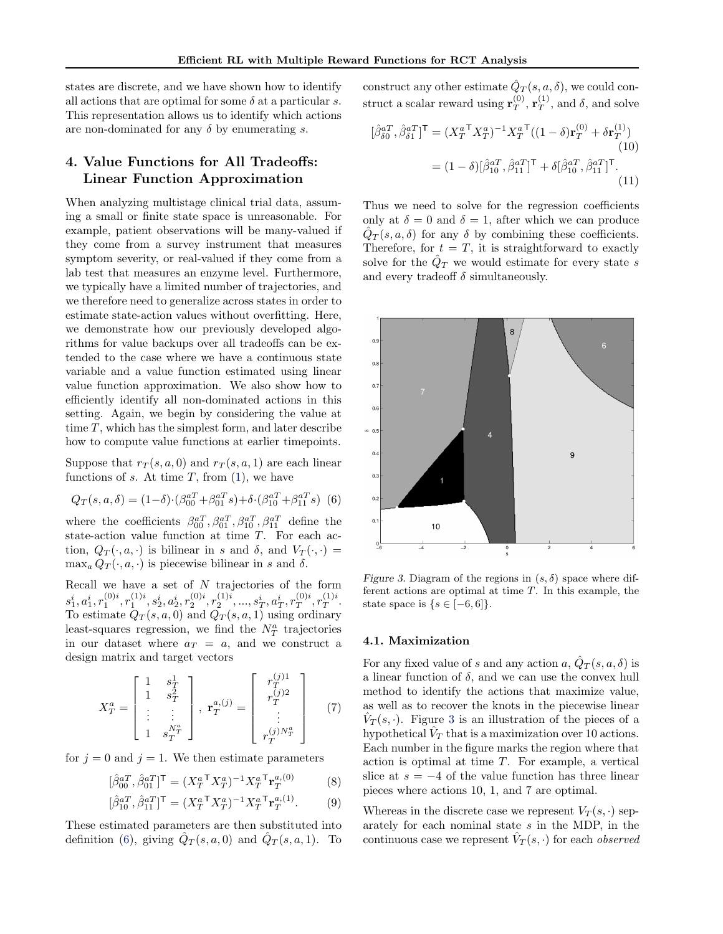<span id="page-4-0"></span>states are discrete, and we have shown how to identify all actions that are optimal for some  $\delta$  at a particular s. This representation allows us to identify which actions are non-dominated for any  $\delta$  by enumerating s.

# 4. Value Functions for All Tradeoffs: Linear Function Approximation

When analyzing multistage clinical trial data, assuming a small or finite state space is unreasonable. For example, patient observations will be many-valued if they come from a survey instrument that measures symptom severity, or real-valued if they come from a lab test that measures an enzyme level. Furthermore, we typically have a limited number of trajectories, and we therefore need to generalize across states in order to estimate state-action values without overfitting. Here, we demonstrate how our previously developed algorithms for value backups over all tradeoffs can be extended to the case where we have a continuous state variable and a value function estimated using linear value function approximation. We also show how to efficiently identify all non-dominated actions in this setting. Again, we begin by considering the value at time  $T$ , which has the simplest form, and later describe how to compute value functions at earlier timepoints.

Suppose that  $r_T(s, a, 0)$  and  $r_T(s, a, 1)$  are each linear functions of s. At time  $T$ , from  $(1)$ , we have

$$
Q_T(s, a, \delta) = (1 - \delta) \cdot (\beta_{00}^{aT} + \beta_{01}^{aT} s) + \delta \cdot (\beta_{10}^{aT} + \beta_{11}^{aT} s) \tag{6}
$$

where the coefficients  $\beta_{00}^{aT}$ ,  $\beta_{01}^{aT}$ ,  $\beta_{10}^{aT}$ ,  $\beta_{11}^{aT}$  define the state-action value function at time T. For each action,  $Q_T(\cdot, a, \cdot)$  is bilinear in s and  $\delta$ , and  $V_T(\cdot, \cdot)$  =  $\max_a Q_T(\cdot, a, \cdot)$  is piecewise bilinear in s and  $\delta$ .

Recall we have a set of  $N$  trajectories of the form  $s^i_1,a^i_1,r^{(0)i}_1,r^{(1)i}_1,s^i_2,a^i_2,r^{(0)i}_2,r^{(1)i}_2,...,s^i_T,a^i_T,r^{(0)i}_T$  $T^{(0)i}, r_T^{(1)i}$  $T^{1/2}$ . To estimate  $Q_T(s, a, 0)$  and  $Q_T(s, a, 1)$  using ordinary least-squares regression, we find the  $N_T^a$  trajectories in our dataset where  $a_T = a$ , and we construct a design matrix and target vectors

$$
X_T^a = \begin{bmatrix} 1 & s_T^1 \\ 1 & s_T^2 \\ \vdots & \vdots \\ 1 & s_T^{N_T^a} \end{bmatrix}, \ \mathbf{r}_T^{a,(j)} = \begin{bmatrix} r_T^{(j)1} \\ r_T^{(j)2} \\ \vdots \\ r_T^{(j)N_T^a} \end{bmatrix}
$$
 (7)

for  $j = 0$  and  $j = 1$ . We then estimate parameters

$$
[\hat{\beta}_{00}^{aT}, \hat{\beta}_{01}^{aT}]^{T} = (X_T^{aT} X_T^{a})^{-1} X_T^{aT} \mathbf{r}_T^{a,(0)} \tag{8}
$$

$$
[\hat{\beta}_{10}^{aT}, \hat{\beta}_{11}^{aT}]^{T} = (X_{T}^{aT} X_{T}^{a})^{-1} X_{T}^{aT} \mathbf{r}_{T}^{a,(1)}.
$$
 (9)

These estimated parameters are then substituted into definition (6), giving  $\hat{Q}_T(s, a, 0)$  and  $\hat{Q}_T(s, a, 1)$ . To construct any other estimate  $\hat{Q}_T(s, a, \delta)$ , we could construct a scalar reward using  $\mathbf{r}_{T}^{(0)}$  $_{T}^{\left( 0\right) },$   $\mathbf{r}_{T}^{\left( 1\right) }$  $T^{(1)}$ , and  $\delta$ , and solve

$$
[\hat{\beta}_{\delta 0}^{aT}, \hat{\beta}_{\delta 1}^{aT}]^{\mathsf{T}} = (X_T^{aT} X_T^{a})^{-1} X_T^{aT} ((1 - \delta) \mathbf{r}_T^{(0)} + \delta \mathbf{r}_T^{(1)})
$$
\n
$$
= (1 - \delta) [\hat{\beta}_{10}^{aT}, \hat{\beta}_{11}^{aT}]^{\mathsf{T}} + \delta [\hat{\beta}_{10}^{aT}, \hat{\beta}_{11}^{aT}]^{\mathsf{T}}.
$$
\n(11)

Thus we need to solve for the regression coefficients only at  $\delta = 0$  and  $\delta = 1$ , after which we can produce  $\hat{Q}_T(s, a, \delta)$  for any  $\delta$  by combining these coefficients. Therefore, for  $t = T$ , it is straightforward to exactly solve for the  $\hat{Q}_T$  we would estimate for every state s and every tradeoff  $\delta$  simultaneously.



Figure 3. Diagram of the regions in  $(s, \delta)$  space where different actions are optimal at time  $T$ . In this example, the state space is  $\{s \in [-6,6]\}.$ 

#### 4.1. Maximization

For any fixed value of s and any action  $a, \hat{Q}_T(s, a, \delta)$  is a linear function of  $\delta$ , and we can use the convex hull method to identify the actions that maximize value, as well as to recover the knots in the piecewise linear  $\hat{V}_T(s, \cdot)$ . Figure 3 is an illustration of the pieces of a hypothetical  $\hat{V}_T$  that is a maximization over 10 actions. Each number in the figure marks the region where that action is optimal at time T. For example, a vertical slice at  $s = -4$  of the value function has three linear pieces where actions 10, 1, and 7 are optimal.

Whereas in the discrete case we represent  $V_T(s, \cdot)$  separately for each nominal state s in the MDP, in the continuous case we represent  $\hat{V}_T(s, \cdot)$  for each *observed*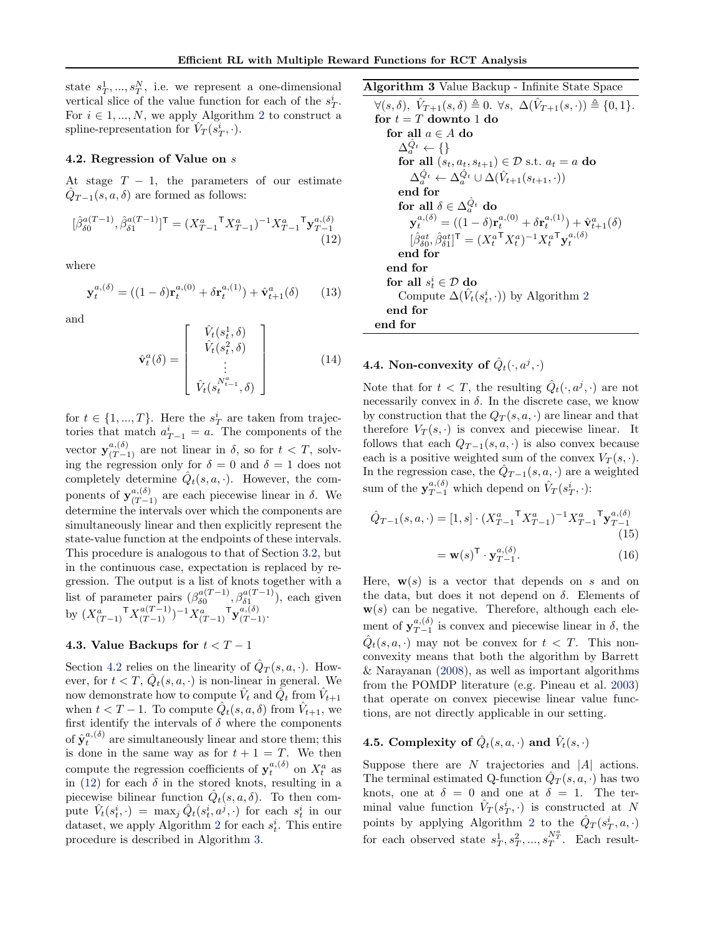<span id="page-5-0"></span>state  $s_T^1, ..., s_T^N$ , i.e. we represent a one-dimensional vertical slice of the value function for each of the  $s_T^i$ . For  $i \in 1, ..., N$ , we apply Algorithm [2](#page-3-0) to construct a spline-representation for  $\hat{V}_T(\vec{s_T},\cdot)$ .

### 4.2. Regression of Value on s

At stage  $T - 1$ , the parameters of our estimate  $\hat{Q}_{T-1}(s, a, \delta)$  are formed as follows:

$$
[\hat{\beta}_{\delta 0}^{a(T-1)}, \hat{\beta}_{\delta 1}^{a(T-1)}]^{\mathsf{T}} = (X_{T-1}^{a}{}^{\mathsf{T}} X_{T-1}^{a})^{-1} X_{T-1}^{a} {}^{\mathsf{T}} \mathbf{y}_{T-1}^{a,(\delta)} \tag{12}
$$

where

$$
\mathbf{y}_{t}^{a,(\delta)} = ((1 - \delta)\mathbf{r}_{t}^{a,(0)} + \delta \mathbf{r}_{t}^{a,(1)}) + \hat{\mathbf{v}}_{t+1}^{a}(\delta) \qquad (13)
$$

and

$$
\hat{\mathbf{v}}_t^a(\delta) = \begin{bmatrix} \hat{V}_t(s_t^1, \delta) \\ \hat{V}_t(s_t^2, \delta) \\ \vdots \\ \hat{V}_t(s_t^{N_{t-1}^a}, \delta) \end{bmatrix}
$$
(14)

for  $t \in \{1, ..., T\}$ . Here the  $s_T^i$  are taken from trajectories that match  $a_{T-1}^i = a$ . The components of the vector  $y_{(T-1)}^{a,(\delta)}$  are not linear in  $\delta$ , so for  $t < T$ , solving the regression only for  $\delta = 0$  and  $\delta = 1$  does not completely determine  $\hat{Q}_t(s, a, \cdot)$ . However, the components of  $y_{(T-1)}^{a,(\delta)}$  are each piecewise linear in  $\delta$ . We determine the intervals over which the components are simultaneously linear and then explicitly represent the state-value function at the endpoints of these intervals. This procedure is analogous to that of Section [3.2,](#page-2-0) but in the continuous case, expectation is replaced by regression. The output is a list of knots together with a list of parameter pairs  $(\beta_{\delta 0}^{a(T-1)})$  $\delta_0^{a(T-1)}, \beta_{\delta 1}^{a(T-1)}$ ), each given by  $(X_{(T-1)}^a \mathsf{T} X_{(T-1)}^{a(T-1)})^{-1} X_{(T-1)}^a \mathsf{T} \mathbf{y}_{(T-1)}^{a,(\delta)}$ .

# 4.3. Value Backups for  $t < T - 1$

Section 4.2 relies on the linearity of  $\hat{Q}_T(s, a, \cdot)$ . However, for  $t < T$ ,  $\hat{Q}_t(s, a, \cdot)$  is non-linear in general. We now demonstrate how to compute  $\hat{V}_t$  and  $\tilde{Q_t}$  from  $\hat{V}_{t+1}$ when  $t < T - 1$ . To compute  $\hat{Q}_t(s, a, \delta)$  from  $\hat{V}_{t+1}$ , we first identify the intervals of  $\delta$  where the components of  $\hat{\mathbf{y}}_t^{a,(\delta)}$  are simultaneously linear and store them; this is done in the same way as for  $t + 1 = T$ . We then compute the regression coefficients of  $y_t^{a,(\delta)}$  on  $X_t^a$  as in (12) for each  $\delta$  in the stored knots, resulting in a piecewise bilinear function  $\hat{Q}_t(s, a, \delta)$ . To then compute  $\hat{V}_t(s_t^i, \cdot) = \max_j \hat{Q}_t(s_t^i, a^j, \cdot)$  for each  $s_t^i$  in our dataset, we apply Algorithm [2](#page-3-0) for each  $s_t^i$ . This entire procedure is described in Algorithm 3.

Algorithm 3 Value Backup - Infinite State Space

$$
\overbrace{\forall(s,\delta), \hat{V}_{T+1}(s,\delta) \triangleq 0. \forall s, \Delta(\hat{V}_{T+1}(s,\cdot)) \triangleq \{0,1\}}^{\forall(s,\delta), \hat{V}_{T+1}(s,\delta) \triangleq 0. \forall s, \Delta(\hat{V}_{T+1}(s,\cdot)) \triangleq \{0,1\}.
$$
\nfor  $t = T$  down to 1 do\nfor all  $a \in A$  do\n
$$
\Delta_a^{\hat{Q}_t} \leftarrow \{\}
$$
\nfor all  $(s_t, a_t, s_{t+1}) \in \mathcal{D}$  s.t.  $a_t = a$  do\n
$$
\Delta_a^{\hat{Q}_t} \leftarrow \Delta_a^{\hat{Q}_t} \cup \Delta(\hat{V}_{t+1}(s_{t+1},\cdot))
$$
\nend for\nfor all  $\delta \in \Delta_a^{\hat{Q}_t}$  do\n
$$
\mathbf{y}_t^{a,(\delta)} = ((1-\delta)\mathbf{r}_t^{a,(0)} + \delta \mathbf{r}_t^{a,(1)}) + \hat{\mathbf{v}}_{t+1}^{a}(\delta)
$$
\n
$$
[\hat{\beta}_{\delta 0}^{at}, \hat{\beta}_{\delta 1}^{at}]^{\mathsf{T}} = (X_t^{a\mathsf{T}} X_t^{a})^{-1} X_t^{a\mathsf{T}} \mathbf{y}_t^{a,(\delta)}
$$
\nend for\nend for\nfor all  $s_t^i \in \mathcal{D}$  do\nCompute  $\Delta(\hat{V}_t(s_t^i, \cdot))$  by Algorithm 2 end for\nend for

# 4.4. Non-convexity of  $\hat{Q}_t(\cdot, a^j, \cdot)$

Note that for  $t < T$ , the resulting  $\hat{Q}_t(\cdot, a^j, \cdot)$  are not necessarily convex in  $\delta$ . In the discrete case, we know by construction that the  $Q_T(s, a, \cdot)$  are linear and that therefore  $V_T(s, \cdot)$  is convex and piecewise linear. It follows that each  $Q_{T-1}(s, a, \cdot)$  is also convex because each is a positive weighted sum of the convex  $V_T(s, \cdot)$ . In the regression case, the  $\hat{Q}_{T-1}(s, a, \cdot)$  are a weighted sum of the  $y_{T-1}^{a,(\delta)}$  which depend on  $\hat{V}_T(s_T^i, \cdot)$ :

$$
\hat{Q}_{T-1}(s, a, \cdot) = [1, s] \cdot (X_{T-1}^a \mathbf{I} X_{T-1}^a)^{-1} X_{T-1}^a \mathbf{I} \mathbf{y}_{T-1}^{a, (\delta)}
$$
\n(15)

$$
= \mathbf{w}(s)^{\mathsf{T}} \cdot \mathbf{y}_{T-1}^{a,(b)}.\tag{16}
$$

Here,  $\mathbf{w}(s)$  is a vector that depends on s and on the data, but does it not depend on  $\delta$ . Elements of  $w(s)$  can be negative. Therefore, although each element of  $y_{T-1}^{a,(\delta)}$  $T_{T-1}^{(0)}$  is convex and piecewise linear in  $\delta$ , the  $\hat{Q}_t(s, a, \cdot)$  may not be convex for  $t < T$ . This nonconvexity means that both the algorithm by Barrett & Narayanan [\(2008\)](#page-7-0), as well as important algorithms from the POMDP literature (e.g. Pineau et al. [2003\)](#page-7-0) that operate on convex piecewise linear value functions, are not directly applicable in our setting.

# 4.5. Complexity of  $\hat{Q}_t(s, a, \cdot)$  and  $\hat{V}_t(s, \cdot)$

Suppose there are  $N$  trajectories and  $|A|$  actions. The terminal estimated Q-function  $\hat{Q}_T(s, a, \cdot)$  has two knots, one at  $\delta = 0$  and one at  $\delta = 1$ . The terminal value function  $\hat{V}_T(s_T^i, \cdot)$  is constructed at N points by applying Algorithm [2](#page-3-0) to the  $\hat{Q}_T(s_T^i, a, \cdot)$ for each observed state  $s_T^1, s_T^2, ..., s_T^{N_T^a}$ . Each result-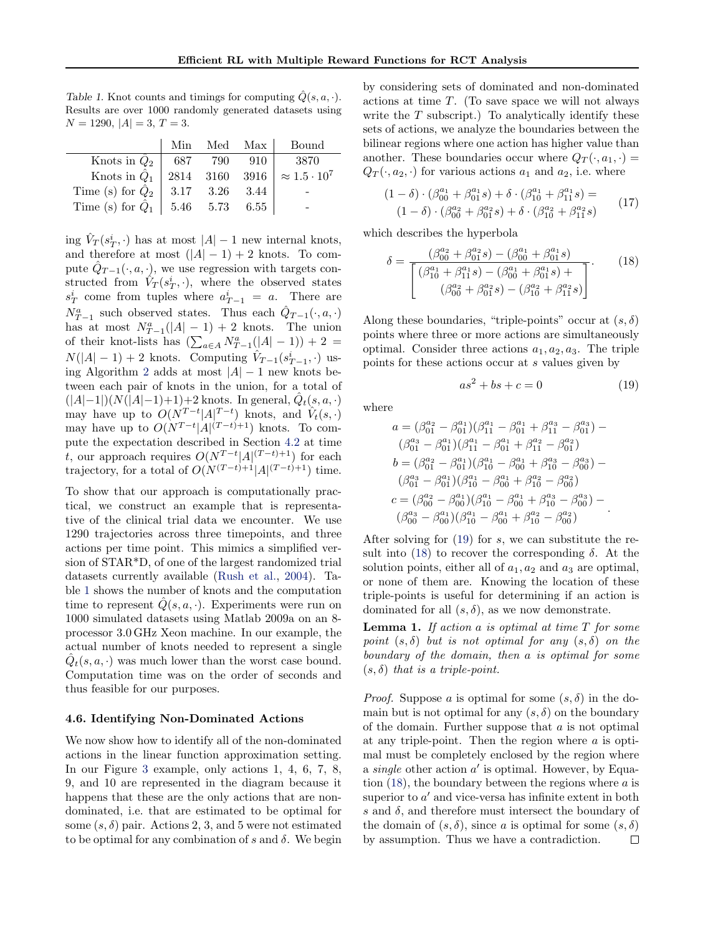<span id="page-6-0"></span>Table 1. Knot counts and timings for computing  $\hat{Q}(s, a, \cdot)$ . Results are over 1000 randomly generated datasets using  $N = 1290, |A| = 3, T = 3.$ 

|                                           |         | Min Med Max | Bound                                   |
|-------------------------------------------|---------|-------------|-----------------------------------------|
| Knots in $\hat{Q}_2$                      | 687 790 | 910         | 3870                                    |
| Knots in $\ddot{Q}_1$ <sup>+</sup>        |         |             | 2814 3160 3916 $\approx 1.5 \cdot 10^7$ |
| Time (s) for $\hat{Q}_2$   3.17 3.26 3.44 |         |             |                                         |
| Time (s) for $\hat{Q}_1$   5.46 5.73 6.55 |         |             |                                         |

ing  $\hat{V}_T(s_T^i, \cdot)$  has at most  $|A|-1$  new internal knots, and therefore at most  $(|A| - 1) + 2$  knots. To compute  $\hat{Q}_{T-1}(\cdot, a, \cdot)$ , we use regression with targets constructed from  $\hat{V}_T(s_T^i, \cdot)$ , where the observed states  $s_T^i$  come from tuples where  $a_{T-1}^i = a$ . There are  $N_{T-1}^a$  such observed states. Thus each  $\hat{Q}_{T-1}(\cdot, a, \cdot)$ has at most  $N_{T-1}^a(|A|-1)+2$  knots. The union of their knot-lists has  $\left(\sum_{a \in A} N_{T-1}^a(|A| - 1)\right) + 2 =$  $N(|A|-1)+2$  knots. Computing  $\hat{V}_{T-1}(s_{T-1}^i, \cdot)$  us-ing Algorithm [2](#page-3-0) adds at most  $|A| - 1$  new knots between each pair of knots in the union, for a total of  $(|A|-1|)(N(|A|-1)+1)+2$  knots. In general,  $\hat{Q}_t(s, a, \cdot)$ may have up to  $O(N^{T-t}|A|^{T-t})$  knots, and  $\hat{V}_t(s, \cdot)$ may have up to  $O(N^{T-t}|A|^{(T-t)+1})$  knots. To compute the expectation described in Section [4.2](#page-5-0) at time t, our approach requires  $O(N^{T-t}|A|^{(T-t)+1})$  for each trajectory, for a total of  $O(N^{(T-t)+1}|A|^{(T-t)+1})$  time.

To show that our approach is computationally practical, we construct an example that is representative of the clinical trial data we encounter. We use 1290 trajectories across three timepoints, and three actions per time point. This mimics a simplified version of STAR\*D, of one of the largest randomized trial datasets currently available [\(Rush et al.,](#page-7-0) [2004\)](#page-7-0). Table 1 shows the number of knots and the computation time to represent  $\hat{Q}(s, a, \cdot)$ . Experiments were run on 1000 simulated datasets using Matlab 2009a on an 8 processor 3.0 GHz Xeon machine. In our example, the actual number of knots needed to represent a single  $\hat{Q}_t(s, a, \cdot)$  was much lower than the worst case bound. Computation time was on the order of seconds and thus feasible for our purposes.

### 4.6. Identifying Non-Dominated Actions

We now show how to identify all of the non-dominated actions in the linear function approximation setting. In our Figure [3](#page-4-0) example, only actions 1, 4, 6, 7, 8, 9, and 10 are represented in the diagram because it happens that these are the only actions that are nondominated, i.e. that are estimated to be optimal for some  $(s, \delta)$  pair. Actions 2, 3, and 5 were not estimated to be optimal for any combination of s and  $\delta$ . We begin by considering sets of dominated and non-dominated actions at time T. (To save space we will not always write the  $T$  subscript.) To analytically identify these sets of actions, we analyze the boundaries between the bilinear regions where one action has higher value than another. These boundaries occur where  $Q_T(\cdot, a_1, \cdot)$  =  $Q_T(\cdot, a_2, \cdot)$  for various actions  $a_1$  and  $a_2$ , i.e. where

$$
(1 - \delta) \cdot (\beta_{00}^{a_1} + \beta_{01}^{a_1} s) + \delta \cdot (\beta_{10}^{a_1} + \beta_{11}^{a_1} s) =
$$
  

$$
(1 - \delta) \cdot (\beta_{00}^{a_2} + \beta_{01}^{a_2} s) + \delta \cdot (\beta_{10}^{a_2} + \beta_{11}^{a_2} s)
$$
 (17)

which describes the hyperbola

$$
\delta = \frac{(\beta_{00}^{a_2} + \beta_{01}^{a_2}s) - (\beta_{00}^{a_1} + \beta_{01}^{a_1}s)}{\left[ (\beta_{10}^{a_1} + \beta_{11}^{a_1}s) - (\beta_{01}^{a_0} + \beta_{01}^{a_1}s) + \beta_{11}^{a_1}s) - (\beta_{10}^{a_2} + \beta_{11}^{a_2}s) \right]}.
$$
(18)

Along these boundaries, "triple-points" occur at  $(s, \delta)$ points where three or more actions are simultaneously optimal. Consider three actions  $a_1, a_2, a_3$ . The triple points for these actions occur at s values given by

$$
as^2 + bs + c = 0 \tag{19}
$$

where

$$
\begin{array}{l} a = (\beta_{01}^{a_2} - \beta_{01}^{a_1})(\beta_{11}^{a_1} - \beta_{01}^{a_1} + \beta_{11}^{a_3} - \beta_{01}^{a_3}) - \\ (\beta_{01}^{a_3} - \beta_{01}^{a_1})(\beta_{11}^{a_1} - \beta_{01}^{a_1} + \beta_{11}^{a_2} - \beta_{01}^{a_3}) \\ b = (\beta_{01}^{a_2} - \beta_{01}^{a_1})(\beta_{10}^{a_1} - \beta_{00}^{a_1} + \beta_{10}^{a_3} - \beta_{00}^{a_3}) - \\ (\beta_{01}^{a_3} - \beta_{01}^{a_1})(\beta_{10}^{a_1} - \beta_{00}^{a_1} + \beta_{10}^{a_2} - \beta_{00}^{a_3}) \\ c = (\beta_{00}^{a_2} - \beta_{00}^{a_1})(\beta_{10}^{a_1} - \beta_{00}^{a_1} + \beta_{10}^{a_3} - \beta_{00}^{a_3}) - \\ (\beta_{00}^{a_3} - \beta_{00}^{a_1})(\beta_{10}^{a_1} - \beta_{00}^{a_1} + \beta_{10}^{a_2} - \beta_{00}^{a_3}) \end{array}.
$$

After solving for  $(19)$  for s, we can substitute the result into (18) to recover the corresponding  $\delta$ . At the solution points, either all of  $a_1, a_2$  and  $a_3$  are optimal, or none of them are. Knowing the location of these triple-points is useful for determining if an action is dominated for all  $(s, \delta)$ , as we now demonstrate.

**Lemma 1.** If action a is optimal at time  $T$  for some point  $(s, \delta)$  but is not optimal for any  $(s, \delta)$  on the boundary of the domain, then a is optimal for some  $(s, \delta)$  that is a triple-point.

*Proof.* Suppose a is optimal for some  $(s, \delta)$  in the domain but is not optimal for any  $(s, \delta)$  on the boundary of the domain. Further suppose that  $a$  is not optimal at any triple-point. Then the region where  $\alpha$  is optimal must be completely enclosed by the region where a single other action  $a'$  is optimal. However, by Equation  $(18)$ , the boundary between the regions where a is superior to  $a'$  and vice-versa has infinite extent in both s and  $\delta$ , and therefore must intersect the boundary of the domain of  $(s, \delta)$ , since a is optimal for some  $(s, \delta)$ by assumption. Thus we have a contradiction. $\Box$